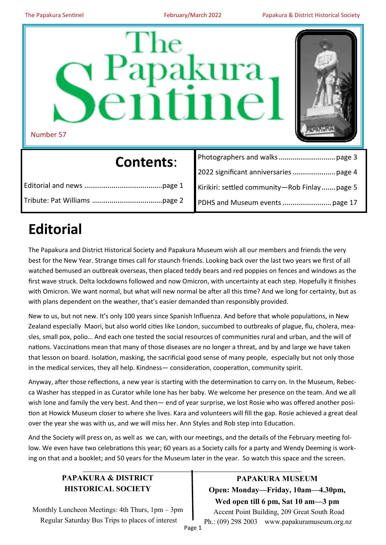

| <b>Contents:</b> |                                               |
|------------------|-----------------------------------------------|
|                  |                                               |
|                  | Kirikiri: settled community-Rob Finlay page 5 |
|                  |                                               |

## **Editorial**

The Papakura and District Historical Society and Papakura Museum wish all our members and friends the very best for the New Year. Strange times call for staunch friends. Looking back over the last two years we first of all watched bemused an outbreak overseas, then placed teddy bears and red poppies on fences and windows as the first wave struck. Delta lockdowns followed and now Omicron, with uncertainty at each step. Hopefully it finishes with Omicron. We want normal, but what will new normal be after all this time? And we long for certainty, but as with plans dependent on the weather, that's easier demanded than responsibly provided.

New to us, but not new. It's only 100 years since Spanish Influenza. And before that whole populations, in New Zealand especially Maori, but also world cities like London, succumbed to outbreaks of plague, flu, cholera, measles, small pox, polio… And each one tested the social resources of communities rural and urban, and the will of nations. Vaccinations mean that many of those diseases are no longer a threat, and by and large we have taken that lesson on board. Isolation, masking, the sacrificial good sense of many people, especially but not only those in the medical services, they all help. Kindness— consideration, cooperation, community spirit.

Anyway, after those reflections, a new year is starting with the determination to carry on. In the Museum, Rebecca Washer has stepped in as Curator while Ione has her baby. We welcome her presence on the team. And we all wish Ione and family the very best. And then— end of year surprise, we lost Rosie who was offered another position at Howick Museum closer to where she lives. Kara and volunteers will fill the gap. Rosie achieved a great deal over the year she was with us, and we will miss her. Ann Styles and Rob step into Education.

And the Society will press on, as well as we can, with our meetings, and the details of the February meeting follow. We even have two celebrations this year; 60 years as a Society calls for a party and Wendy Deeming is working on that and a booklet; and 50 years for the Museum later in the year. So watch this space and the screen.

## **PAPAKURA & DISTRICT HISTORICAL SOCIETY**

Monthly Luncheon Meetings: 4th Thurs, 1pm – 3pm Regular Saturday Bus Trips to places of interest

**PAPAKURA MUSEUM Open: Monday—Friday, 10am—4.30pm, Wed open till 6 pm, Sat 10 am—3 pm** Accent Point Building, 209 Great South Road Ph.: (09) 298 2003 www.papakuramuseum.org.nz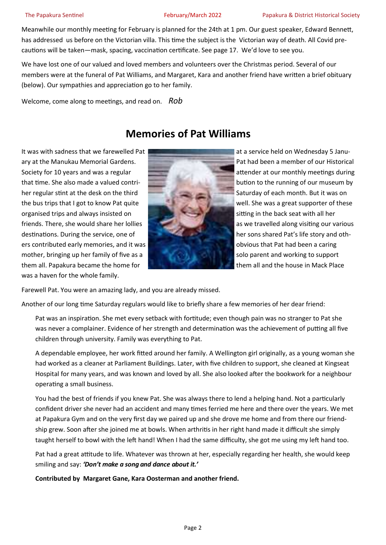Meanwhile our monthly meeting for February is planned for the 24th at 1 pm. Our guest speaker, Edward Bennett, has addressed us before on the Victorian villa. This time the subject is the Victorian way of death. All Covid precautions will be taken—mask, spacing, vaccination certificate. See page 17. We'd love to see you.

We have lost one of our valued and loved members and volunteers over the Christmas period. Several of our members were at the funeral of Pat Williams, and Margaret, Kara and another friend have written a brief obituary (below). Our sympathies and appreciation go to her family.

Welcome, come along to meetings, and read on. *Rob*

## **Memories of Pat Williams**

ary at the Manukau Memorial Gardens. Pat had been a member of our Historical Society for 10 years and was a regular attender at our monthly meetings during that time. She also made a valued contri- bution to the running of our museum by her regular stint at the desk on the third Saturday of each month. But it was on the bus trips that I got to know Pat quite well. She was a great supporter of these organised trips and always insisted on sitting in the back seat with all her friends. There, she would share her lollies as we travelled along visiting our various destinations. During the service, one of her sons shared Pat's life story and others contributed early memories, and it was obvious that Pat had been a caring mother, bringing up her family of five as a solo parent and working to support them all. Papakura became the home for the matter of them all and the house in Mack Place was a haven for the whole family.



It was with sadness that we farewelled Pat at a service held on Wednesday 5 Janu-

Farewell Pat. You were an amazing lady, and you are already missed.

Another of our long time Saturday regulars would like to briefly share a few memories of her dear friend:

Pat was an inspiration. She met every setback with fortitude; even though pain was no stranger to Pat she was never a complainer. Evidence of her strength and determination was the achievement of putting all five children through university. Family was everything to Pat.

A dependable employee, her work fitted around her family. A Wellington girl originally, as a young woman she had worked as a cleaner at Parliament Buildings. Later, with five children to support, she cleaned at Kingseat Hospital for many years, and was known and loved by all. She also looked after the bookwork for a neighbour operating a small business.

You had the best of friends if you knew Pat. She was always there to lend a helping hand. Not a particularly confident driver she never had an accident and many times ferried me here and there over the years. We met at Papakura Gym and on the very first day we paired up and she drove me home and from there our friendship grew. Soon after she joined me at bowls. When arthritis in her right hand made it difficult she simply taught herself to bowl with the left hand! When I had the same difficulty, she got me using my left hand too.

Pat had a great attitude to life. Whatever was thrown at her, especially regarding her health, she would keep smiling and say: *'Don't make a song and dance about it.'*

**Contributed by Margaret Gane, Kara Oosterman and another friend.**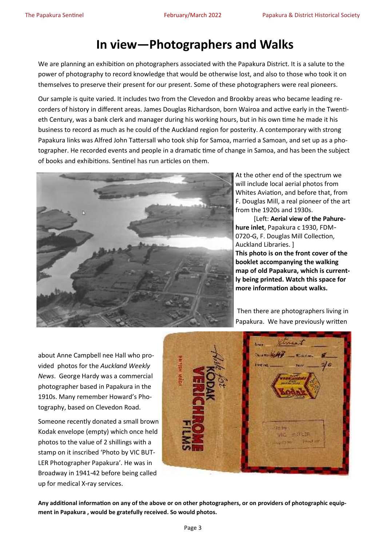## **In view—Photographers and Walks**

We are planning an exhibition on photographers associated with the Papakura District. It is a salute to the power of photography to record knowledge that would be otherwise lost, and also to those who took it on themselves to preserve their present for our present. Some of these photographers were real pioneers.

Our sample is quite varied. It includes two from the Clevedon and Brookby areas who became leading recorders of history in different areas. James Douglas Richardson, born Wairoa and active early in the Twentieth Century, was a bank clerk and manager during his working hours, but in his own time he made it his business to record as much as he could of the Auckland region for posterity. A contemporary with strong Papakura links was Alfred John Tattersall who took ship for Samoa, married a Samoan, and set up as a photographer. He recorded events and people in a dramatic time of change in Samoa, and has been the subject of books and exhibitions. Sentinel has run articles on them.



At the other end of the spectrum we will include local aerial photos from Whites Aviation, and before that, from F. Douglas Mill, a real pioneer of the art from the 1920s and 1930s.

[Left: **Aerial view of the Pahurehure inlet**, Papakura c 1930, FDM-0720-G, F. Douglas Mill Collection, Auckland Libraries. ] **This photo is on the front cover of the booklet accompanying the walking map of old Papakura, which is currently being printed. Watch this space for more information about walks.**

Then there are photographers living in Papakura. We have previously written

about Anne Campbell nee Hall who provided photos for the *Auckland Weekly News*. George Hardy was a commercial photographer based in Papakura in the 1910s. Many remember Howard's Photography, based on Clevedon Road.

Someone recently donated a small brown Kodak envelope (empty) which once held photos to the value of 2 shillings with a stamp on it inscribed 'Photo by VIC BUT-LER Photographer Papakura'. He was in Broadway in 1941-42 before being called up for medical X-ray services.



**Any additional information on any of the above or on other photographers, or on providers of photographic equipment in Papakura , would be gratefully received. So would photos.**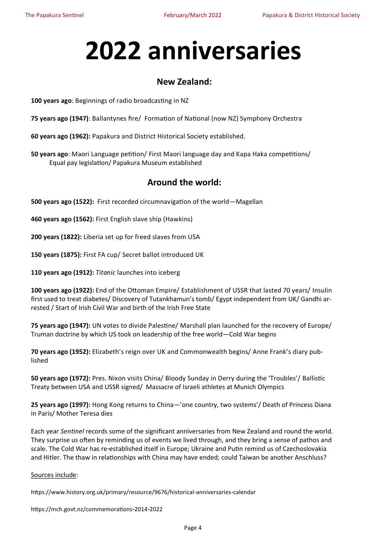# **2022 anniversaries**

## **New Zealand:**

**100 years ago**: Beginnings of radio broadcasting in NZ

**75 years ago (1947)**: Ballantynes fire/ Formation of National (now NZ) Symphony Orchestra

**60 years ago (1962):** Papakura and District Historical Society established.

**50 years ago**: Maori Language petition/ First Maori language day and Kapa Haka competitions/ Equal pay legislation/ Papakura Museum established

#### **Around the world:**

**500 years ago (1522):** First recorded circumnavigation of the world—Magellan

**460 years ago (1562):** First English slave ship (Hawkins)

**200 years (1822):** Liberia set up for freed slaves from USA

**150 years (1875):** First FA cup/ Secret ballot introduced UK

**110 years ago (1912):** *Titanic* launches into iceberg

**100 years ago (1922):** End of the Ottoman Empire/ Establishment of USSR that lasted 70 years/ Insulin first used to treat diabetes/ Discovery of Tutankhamun's tomb/ Egypt independent from UK/ Gandhi arrested / Start of Irish Civil War and birth of the Irish Free State

**75 years ago (1947):** UN votes to divide Palestine/ Marshall plan launched for the recovery of Europe/ Truman doctrine by which US took on leadership of the free world—Cold War begins

**70 years ago (1952):** Elizabeth's reign over UK and Commonwealth begins/ Anne Frank's diary published

**50 years ago (1972):** Pres. Nixon visits China/ Bloody Sunday in Derry during the 'Troubles'/ Ballistic Treaty between USA and USSR signed/ Massacre of Israeli athletes at Munich Olympics

**25 years ago (1997):** Hong Kong returns to China—'one country, two systems'/ Death of Princess Diana in Paris/ Mother Teresa dies

Each year *Sentinel* records some of the significant anniversaries from New Zealand and round the world. They surprise us often by reminding us of events we lived through, and they bring a sense of pathos and scale. The Cold War has re-established itself in Europe; Ukraine and Putin remind us of Czechoslovakia and Hitler. The thaw in relationships with China may have ended; could Taiwan be another Anschluss?

Sources include:

https://www.history.org.uk/primary/resource/9676/historical-anniversaries-calendar

https://mch.govt.nz/commemorations-2014-2022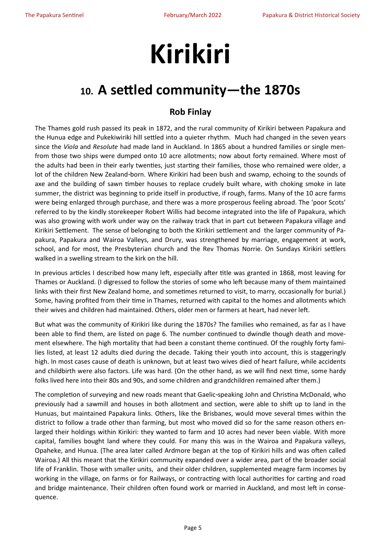# **Kirikiri**

## **10. A settled community—the 1870s**

## **Rob Finlay**

The Thames gold rush passed its peak in 1872, and the rural community of Kirikiri between Papakura and the Hunua edge and Pukekiwiriki hill settled into a quieter rhythm. Much had changed in the seven years since the *Viola* and *Resolute* had made land in Auckland. In 1865 about a hundred families or single menfrom those two ships were dumped onto 10 acre allotments; now about forty remained. Where most of the adults had been in their early twenties, just starting their families, those who remained were older, a lot of the children New Zealand-born. Where Kirikiri had been bush and swamp, echoing to the sounds of axe and the building of sawn timber houses to replace crudely built whare, with choking smoke in late summer, the district was beginning to pride itself in productive, if rough, farms. Many of the 10 acre farms were being enlarged through purchase, and there was a more prosperous feeling abroad. The 'poor Scots' referred to by the kindly storekeeper Robert Willis had become integrated into the life of Papakura, which was also growing with work under way on the railway track that in part cut between Papakura village and Kirikiri Settlement. The sense of belonging to both the Kirikiri settlement and the larger community of Papakura, Papakura and Wairoa Valleys, and Drury, was strengthened by marriage, engagement at work, school, and for most, the Presbyterian church and the Rev Thomas Norrie. On Sundays Kirikiri settlers walked in a swelling stream to the kirk on the hill.

In previous articles I described how many left, especially after title was granted in 1868, most leaving for Thames or Auckland. (I digressed to follow the stories of some who left because many of them maintained links with their first New Zealand home, and sometimes returned to visit, to marry, occasionally for burial.) Some, having profited from their time in Thames, returned with capital to the homes and allotments which their wives and children had maintained. Others, older men or farmers at heart, had never left.

But what was the community of Kirikiri like during the 1870s? The families who remained, as far as I have been able to find them, are listed on page 6. The number continued to dwindle though death and movement elsewhere. The high mortality that had been a constant theme continued. Of the roughly forty families listed, at least 12 adults died during the decade. Taking their youth into account, this is staggeringly high. In most cases cause of death is unknown, but at least two wives died of heart failure, while accidents and childbirth were also factors. Life was hard. (On the other hand, as we will find next time, some hardy folks lived here into their 80s and 90s, and some children and grandchildren remained after them.)

The completion of surveying and new roads meant that Gaelic-speaking John and Christina McDonald, who previously had a sawmill and houses in both allotment and section, were able to shift up to land in the Hunuas, but maintained Papakura links. Others, like the Brisbanes, would move several times within the district to follow a trade other than farming, but most who moved did so for the same reason others enlarged their holdings within Kirikiri: they wanted to farm and 10 acres had never been viable. With more capital, families bought land where they could. For many this was in the Wairoa and Papakura valleys, Opaheke, and Hunua. (The area later called Ardmore began at the top of Kirikiri hills and was often called Wairoa.) All this meant that the Kirikiri community expanded over a wider area, part of the broader social life of Franklin. Those with smaller units, and their older children, supplemented meagre farm incomes by working in the village, on farms or for Railways, or contracting with local authorities for carting and road and bridge maintenance. Their children often found work or married in Auckland, and most left in consequence.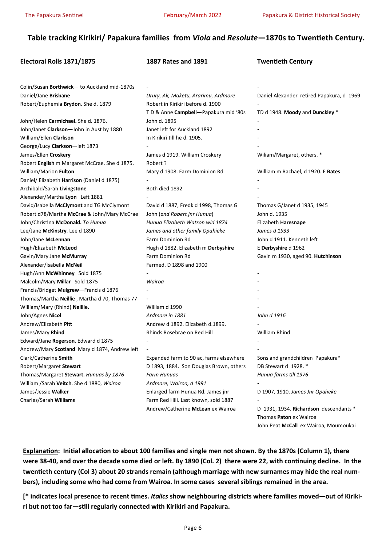#### **Table tracking Kirikiri/ Papakura families from** *Viola* **and** *Resolute***—1870s to Twentieth Century.**

| Electoral Rolls 1871/1875                     | <b>1887 Rates and 1891</b>              | <b>Twentieth Century</b>                                                                                  |
|-----------------------------------------------|-----------------------------------------|-----------------------------------------------------------------------------------------------------------|
|                                               |                                         |                                                                                                           |
| Colin/Susan Borthwick- to Auckland mid-1870s  |                                         |                                                                                                           |
| Daniel/Jane Brisbane                          | Drury, Ak, Maketu, Ararimu, Ardmore     | Daniel Alexander retired Papakura, d 1969                                                                 |
| Robert/Euphemia Brydon. She d. 1879           | Robert in Kirikiri before d. 1900       |                                                                                                           |
|                                               | TD & Anne Campbell-Papakura mid '80s    | TD d 1948. Moody and Dunckley *                                                                           |
| John/Helen Carmichael. She d. 1876.           | John d. 1895                            |                                                                                                           |
| John/Janet Clarkson-John in Aust by 1880      | Janet left for Auckland 1892            |                                                                                                           |
| William/Ellen Clarkson                        | In Kirikiri till he d. 1905.            |                                                                                                           |
| George/Lucy Clarkson-left 1873                |                                         |                                                                                                           |
| James/Ellen Croskery                          | James d 1919. William Croskery          | Wiliam/Margaret, others. *                                                                                |
| Robert English m Margaret McCrae. She d 1875. | Robert ?                                |                                                                                                           |
| William/Marion Fulton                         | Mary d 1908. Farm Dominion Rd           | William m Rachael, d 1920. E Bates                                                                        |
| Daniel/ Elizabeth Harrison (Daniel d 1875)    |                                         |                                                                                                           |
| Archibald/Sarah Livingstone                   | Both died 1892                          |                                                                                                           |
| Alexander/Martha Lyon Left 1881               |                                         |                                                                                                           |
| David/Isabella McClymont and TG McClymont     | David d 1887, Fredk d 1998, Thomas G    | Thomas G/Janet d 1935, 1945                                                                               |
| Robert d78/Martha McCrae & John/Mary McCrae   | John (and Robert jnr Hunua)             | John d. 1935                                                                                              |
| John/Christina McDonald. To Hunua             | Hunua Elizabeth Watson wid 1874         | Elizabeth Haresnape                                                                                       |
| Lee/Jane McKinstry. Lee d 1890                | James and other family Opahieke         | James d 1933                                                                                              |
| John/Jane McLennan                            | Farm Dominion Rd                        | John d 1911. Kenneth left                                                                                 |
| Hugh/Elizabeth McLeod                         | Hugh d 1882. Elizabeth m Derbyshire     | E Derbyshire d 1962                                                                                       |
| Gavin/Mary Jane McMurray                      | Farm Dominion Rd                        | Gavin m 1930, aged 90. Hutchinson                                                                         |
| Alexander/Isabella McNeil                     | Farmed. D 1898 and 1900                 |                                                                                                           |
| Hugh/Ann McWhinney Sold 1875                  |                                         |                                                                                                           |
| Malcolm/Mary Millar Sold 1875                 | Wairoa                                  |                                                                                                           |
| Francis/Bridget Mulgrew-Francis d 1876        |                                         |                                                                                                           |
| Thomas/Martha Neillie, Martha d 70, Thomas 77 |                                         |                                                                                                           |
| William/Mary (Rhind) Neillie.                 | William d 1990                          |                                                                                                           |
| John/Agnes Nicol                              | Ardmore in 1881                         | John d 1916                                                                                               |
| Andrew/Elizabeth Pitt                         | Andrew d 1892. Elizabeth d.1899.        |                                                                                                           |
| James/Mary Rhind                              | Rhinds Rosebrae on Red Hill             | William Rhind                                                                                             |
| Edward/Jane Rogerson. Edward d 1875           |                                         |                                                                                                           |
| Andrew/Mary Scotland Mary d 1874, Andrew left |                                         |                                                                                                           |
| Clark/Catherine Smith                         | Expanded farm to 90 ac, farms elsewhere | Sons and grandchildren Papakura*                                                                          |
| Robert/Margaret Stewart                       | D 1893, 1884. Son Douglas Brown, others | DB Stewart d 1928. *                                                                                      |
| Thomas/Margaret Stewart. Hunuas by 1876       | Farm Hunuas                             | Hunua farms till 1976                                                                                     |
| William /Sarah Veitch. She d 1880, Wairoa     | Ardmore, Wairoa, d 1991                 |                                                                                                           |
| James/Jessie Walker                           | Enlarged farm Hunua Rd. James jnr       | D 1907, 1910. James Jnr Opaheke                                                                           |
| Charles/Sarah Williams                        | Farm Red Hill. Last known, sold 1887    |                                                                                                           |
|                                               | Andrew/Catherine McLean ex Wairoa       | D 1931, 1934. Richardson descendants *<br>Thomas Paton ex Wairoa<br>John Peat McCall ex Wairoa, Moumoukai |

**Explanation: Initial allocation to about 100 families and single men not shown. By the 1870s (Column 1), there were 38-40, and over the decade some died or left. By 1890 (Col. 2) there were 22, with continuing decline. In the twentieth century (Col 3) about 20 strands remain (although marriage with new surnames may hide the real numbers), including some who had come from Wairoa. In some cases several siblings remained in the area.** 

**[\* indicates local presence to recent times.** *Italics* **show neighbouring districts where families moved—out of Kirikiri but not too far—still regularly connected with Kirikiri and Papakura.**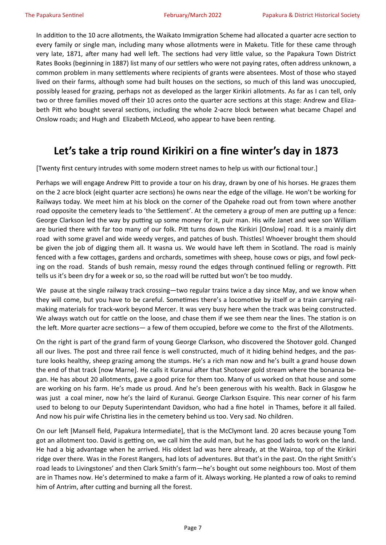In addition to the 10 acre allotments, the Waikato Immigration Scheme had allocated a quarter acre section to every family or single man, including many whose allotments were in Maketu. Title for these came through very late, 1871, after many had well left. The sections had very little value, so the Papakura Town District Rates Books (beginning in 1887) list many of our settlers who were not paying rates, often address unknown, a common problem in many settlements where recipients of grants were absentees. Most of those who stayed lived on their farms, although some had built houses on the sections, so much of this land was unoccupied, possibly leased for grazing, perhaps not as developed as the larger Kirikiri allotments. As far as I can tell, only two or three families moved off their 10 acres onto the quarter acre sections at this stage: Andrew and Elizabeth Pitt who bought several sections, including the whole 2-acre block between what became Chapel and Onslow roads; and Hugh and Elizabeth McLeod, who appear to have been renting.

## **Let's take a trip round Kirikiri on a fine winter's day in 1873**

[Twenty first century intrudes with some modern street names to help us with our fictional tour.]

Perhaps we will engage Andrew Pitt to provide a tour on his dray, drawn by one of his horses. He grazes them on the 2 acre block (eight quarter acre sections) he owns near the edge of the village. He won't be working for Railways today. We meet him at his block on the corner of the Opaheke road out from town where another road opposite the cemetery leads to 'the Settlement'. At the cemetery a group of men are putting up a fence: George Clarkson led the way by putting up some money for it, puir man. His wife Janet and wee son William are buried there with far too many of our folk. Pitt turns down the Kirikiri [Onslow] road. It is a mainly dirt road with some gravel and wide weedy verges, and patches of bush. Thistles! Whoever brought them should be given the job of digging them all. It wasna us. We would have left them in Scotland. The road is mainly fenced with a few cottages, gardens and orchards, sometimes with sheep, house cows or pigs, and fowl pecking on the road. Stands of bush remain, messy round the edges through continued felling or regrowth. Pitt tells us it's been dry for a week or so, so the road will be rutted but won't be too muddy.

We pause at the single railway track crossing—two regular trains twice a day since May, and we know when they will come, but you have to be careful. Sometimes there's a locomotive by itself or a train carrying railmaking materials for track-work beyond Mercer. It was very busy here when the track was being constructed. We always watch out for cattle on the loose, and chase them if we see them near the lines. The station is on the left. More quarter acre sections— a few of them occupied, before we come to the first of the Allotments.

On the right is part of the grand farm of young George Clarkson, who discovered the Shotover gold. Changed all our lives. The post and three rail fence is well constructed, much of it hiding behind hedges, and the pasture looks healthy, sheep grazing among the stumps. He's a rich man now and he's built a grand house down the end of that track [now Marne]. He calls it Kuranui after that Shotover gold stream where the bonanza began. He has about 20 allotments, gave a good price for them too. Many of us worked on that house and some are working on his farm. He's made us proud. And he's been generous with his wealth. Back in Glasgow he was just a coal miner, now he's the laird of Kuranui. George Clarkson Esquire. This near corner of his farm used to belong to our Deputy Superintendant Davidson, who had a fine hotel in Thames, before it all failed. And now his puir wife Christina lies in the cemetery behind us too. Very sad. No children.

On our left [Mansell field, Papakura Intermediate], that is the McClymont land. 20 acres because young Tom got an allotment too. David is getting on, we call him the auld man, but he has good lads to work on the land. He had a big advantage when he arrived. His oldest lad was here already, at the Wairoa, top of the Kirikiri ridge over there. Was in the Forest Rangers, had lots of adventures. But that's in the past. On the right Smith's road leads to Livingstones' and then Clark Smith's farm—he's bought out some neighbours too. Most of them are in Thames now. He's determined to make a farm of it. Always working. He planted a row of oaks to remind him of Antrim, after cutting and burning all the forest.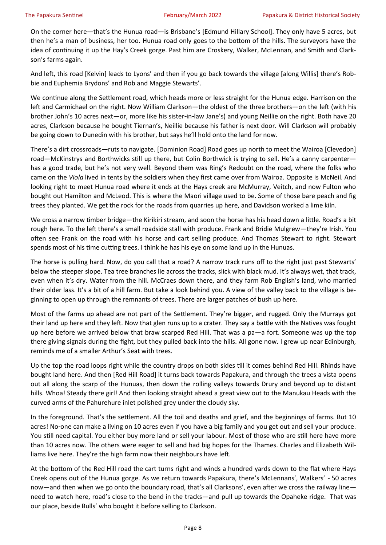On the corner here—that's the Hunua road—is Brisbane's [Edmund Hillary School]. They only have 5 acres, but then he's a man of business, her too. Hunua road only goes to the bottom of the hills. The surveyors have the idea of continuing it up the Hay's Creek gorge. Past him are Croskery, Walker, McLennan, and Smith and Clarkson's farms again.

And left, this road [Kelvin] leads to Lyons' and then if you go back towards the village [along Willis] there's Robbie and Euphemia Brydons' and Rob and Maggie Stewarts'.

We continue along the Settlement road, which heads more or less straight for the Hunua edge. Harrison on the left and Carmichael on the right. Now William Clarkson—the oldest of the three brothers—on the left (with his brother John's 10 acres next—or, more like his sister-in-law Jane's) and young Neillie on the right. Both have 20 acres, Clarkson because he bought Tiernan's, Neillie because his father is next door. Will Clarkson will probably be going down to Dunedin with his brother, but says he'll hold onto the land for now.

There's a dirt crossroads—ruts to navigate. [Dominion Road] Road goes up north to meet the Wairoa [Clevedon] road—McKinstrys and Borthwicks still up there, but Colin Borthwick is trying to sell. He's a canny carpenter has a good trade, but he's not very well. Beyond them was Ring's Redoubt on the road, where the folks who came on the *Viola* lived in tents by the soldiers when they first came over from Wairoa. Opposite is McNeil. And looking right to meet Hunua road where it ends at the Hays creek are McMurray, Veitch, and now Fulton who bought out Hamilton and McLeod. This is where the Maori village used to be. Some of those bare peach and fig trees they planted. We get the rock for the roads from quarries up here, and Davidson worked a lime kiln.

We cross a narrow timber bridge—the Kirikiri stream, and soon the horse has his head down a little. Road's a bit rough here. To the left there's a small roadside stall with produce. Frank and Bridie Mulgrew—they're Irish. You often see Frank on the road with his horse and cart selling produce. And Thomas Stewart to right. Stewart spends most of his time cutting trees. I think he has his eye on some land up in the Hunuas.

The horse is pulling hard. Now, do you call that a road? A narrow track runs off to the right just past Stewarts' below the steeper slope. Tea tree branches lie across the tracks, slick with black mud. It's always wet, that track, even when it's dry. Water from the hill. McCraes down there, and they farm Rob English's land, who married their older lass. It's a bit of a hill farm. But take a look behind you. A view of the valley back to the village is beginning to open up through the remnants of trees. There are larger patches of bush up here.

Most of the farms up ahead are not part of the Settlement. They're bigger, and rugged. Only the Murrays got their land up here and they left. Now that glen runs up to a crater. They say a battle with the Natives was fought up here before we arrived below that braw scarped Red Hill. That was a pa—a fort. Someone was up the top there giving signals during the fight, but they pulled back into the hills. All gone now. I grew up near Edinburgh, reminds me of a smaller Arthur's Seat with trees.

Up the top the road loops right while the country drops on both sides till it comes behind Red Hill. Rhinds have bought land here. And then [Red Hill Road] it turns back towards Papakura, and through the trees a vista opens out all along the scarp of the Hunuas, then down the rolling valleys towards Drury and beyond up to distant hills. Whoa! Steady there girl! And then looking straight ahead a great view out to the Manukau Heads with the curved arms of the Pahurehure inlet polished grey under the cloudy sky.

In the foreground. That's the settlement. All the toil and deaths and grief, and the beginnings of farms. But 10 acres! No-one can make a living on 10 acres even if you have a big family and you get out and sell your produce. You still need capital. You either buy more land or sell your labour. Most of those who are still here have more than 10 acres now. The others were eager to sell and had big hopes for the Thames. Charles and Elizabeth Williams live here. They're the high farm now their neighbours have left.

At the bottom of the Red Hill road the cart turns right and winds a hundred yards down to the flat where Hays Creek opens out of the Hunua gorge. As we return towards Papakura, there's McLennans', Walkers' - 50 acres now—and then when we go onto the boundary road, that's all Clarksons', even after we cross the railway line need to watch here, road's close to the bend in the tracks—and pull up towards the Opaheke ridge. That was our place, beside Bulls' who bought it before selling to Clarkson.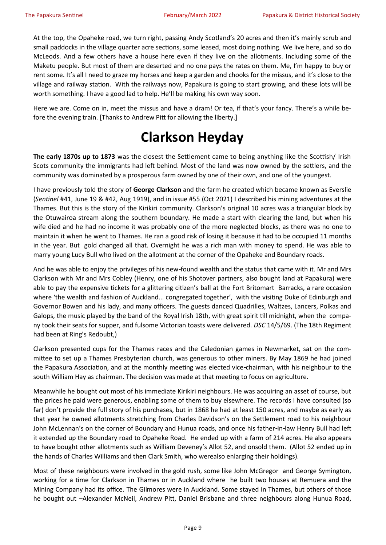At the top, the Opaheke road, we turn right, passing Andy Scotland's 20 acres and then it's mainly scrub and small paddocks in the village quarter acre sections, some leased, most doing nothing. We live here, and so do McLeods. And a few others have a house here even if they live on the allotments. Including some of the Maketu people. But most of them are deserted and no one pays the rates on them. Me, I'm happy to buy or rent some. It's all I need to graze my horses and keep a garden and chooks for the missus, and it's close to the village and railway station. With the railways now, Papakura is going to start growing, and these lots will be worth something. I have a good lad to help. He'll be making his own way soon.

Here we are. Come on in, meet the missus and have a dram! Or tea, if that's your fancy. There's a while before the evening train. [Thanks to Andrew Pitt for allowing the liberty.]

## **Clarkson Heyday**

**The early 1870s up to 1873** was the closest the Settlement came to being anything like the Scottish/ Irish Scots community the immigrants had left behind. Most of the land was now owned by the settlers, and the community was dominated by a prosperous farm owned by one of their own, and one of the youngest.

I have previously told the story of **George Clarkson** and the farm he created which became known as Everslie (*Sentinel* #41, June 19 & #42, Aug 1919), and in issue #55 (Oct 2021) I described his mining adventures at the Thames. But this is the story of the Kirikiri community. Clarkson's original 10 acres was a triangular block by the Otuwairoa stream along the southern boundary. He made a start with clearing the land, but when his wife died and he had no income it was probably one of the more neglected blocks, as there was no one to maintain it when he went to Thames. He ran a good risk of losing it because it had to be occupied 11 months in the year. But gold changed all that. Overnight he was a rich man with money to spend. He was able to marry young Lucy Bull who lived on the allotment at the corner of the Opaheke and Boundary roads.

And he was able to enjoy the privileges of his new-found wealth and the status that came with it. Mr and Mrs Clarkson with Mr and Mrs Cobley (Henry, one of his Shotover partners, also bought land at Papakura) were able to pay the expensive tickets for a glittering citizen's ball at the Fort Britomart Barracks, a rare occasion where 'the wealth and fashion of Auckland... congregated together', with the visiting Duke of Edinburgh and Governor Bowen and his lady, and many officers. The guests danced Quadrilles, Waltzes, Lancers, Polkas and Galops, the music played by the band of the Royal Irish 18th, with great spirit till midnight, when the company took their seats for supper, and fulsome Victorian toasts were delivered. *DSC* 14/5/69. (The 18th Regiment had been at Ring's Redoubt,)

Clarkson presented cups for the Thames races and the Caledonian games in Newmarket, sat on the committee to set up a Thames Presbyterian church, was generous to other miners. By May 1869 he had joined the Papakura Association, and at the monthly meeting was elected vice-chairman, with his neighbour to the south William Hay as chairman. The decision was made at that meeting to focus on agriculture.

Meanwhile he bought out most of his immediate Kirikiri neighbours. He was acquiring an asset of course, but the prices he paid were generous, enabling some of them to buy elsewhere. The records I have consulted (so far) don't provide the full story of his purchases, but in 1868 he had at least 150 acres, and maybe as early as that year he owned allotments stretching from Charles Davidson's on the Settlement road to his neighbour John McLennan's on the corner of Boundary and Hunua roads, and once his father-in-law Henry Bull had left it extended up the Boundary road to Opaheke Road. He ended up with a farm of 214 acres. He also appears to have bought other allotments such as William Deveney's Allot 52, and onsold them. (Allot 52 ended up in the hands of Charles Williams and then Clark Smith, who werealso enlarging their holdings).

Most of these neighbours were involved in the gold rush, some like John McGregor and George Symington, working for a time for Clarkson in Thames or in Auckland where he built two houses at Remuera and the Mining Company had its office. The Gilmores were in Auckland. Some stayed in Thames, but others of those he bought out –Alexander McNeil, Andrew Pitt, Daniel Brisbane and three neighbours along Hunua Road,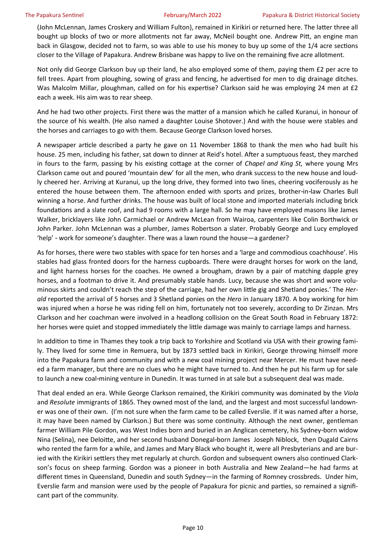(John McLennan, James Croskery and William Fulton), remained in Kirikiri or returned here. The latter three all bought up blocks of two or more allotments not far away, McNeil bought one. Andrew Pitt, an engine man back in Glasgow, decided not to farm, so was able to use his money to buy up some of the 1/4 acre sections closer to the Village of Papakura. Andrew Brisbane was happy to live on the remaining five acre allotment.

Not only did George Clarkson buy up their land, he also employed some of them, paying them £2 per acre to fell trees. Apart from ploughing, sowing of grass and fencing, he advertised for men to dig drainage ditches. Was Malcolm Millar, ploughman, called on for his expertise? Clarkson said he was employing 24 men at £2 each a week. His aim was to rear sheep.

And he had two other projects. First there was the matter of a mansion which he called Kuranui, in honour of the source of his wealth. (He also named a daughter Louise Shotover.) And with the house were stables and the horses and carriages to go with them. Because George Clarkson loved horses.

A newspaper article described a party he gave on 11 November 1868 to thank the men who had built his house. 25 men, including his father, sat down to dinner at Reid's hotel. After a sumptuous feast, they marched in fours to the farm, passing by his existing cottage at the corner of *Chapel and King St,* where young Mrs Clarkson came out and poured 'mountain dew' for all the men, who drank success to the new house and loudly cheered her. Arriving at Kuranui, up the long drive, they formed into two lines, cheering vociferously as he entered the house between them. The afternoon ended with sports and prizes, brother-in-law Charles Bull winning a horse. And further drinks. The house was built of local stone and imported materials including brick foundations and a slate roof, and had 9 rooms with a large hall. So he may have employed masons like James Walker, bricklayers like John Carmichael or Andrew McLean from Wairoa, carpenters like Colin Borthwick or John Parker. John McLennan was a plumber, James Robertson a slater. Probably George and Lucy employed 'help' - work for someone's daughter. There was a lawn round the house—a gardener?

As for horses, there were two stables with space for ten horses and a 'large and commodious coachhouse'. His stables had glass fronted doors for the harness cupboards. There were draught horses for work on the land, and light harness horses for the coaches. He owned a brougham, drawn by a pair of matching dapple grey horses, and a footman to drive it. And presumably stable hands. Lucy, because she was short and wore voluminous skirts and couldn't reach the step of the carriage, had her own little gig and Shetland ponies.' The *Herald* reported the arrival of 5 horses and 3 Shetland ponies on the *Hero* in January 1870. A boy working for him was injured when a horse he was riding fell on him, fortunately not too severely, according to Dr Zinzan. Mrs Clarkson and her coachman were involved in a headlong collision on the Great South Road in February 1872: her horses were quiet and stopped immediately the little damage was mainly to carriage lamps and harness.

In addition to time in Thames they took a trip back to Yorkshire and Scotland via USA with their growing family. They lived for some time in Remuera, but by 1873 settled back in Kirikiri, George throwing himself more into the Papakura farm and community and with a new coal mining project near Mercer. He must have needed a farm manager, but there are no clues who he might have turned to. And then he put his farm up for sale to launch a new coal-mining venture in Dunedin. It was turned in at sale but a subsequent deal was made.

That deal ended an era. While George Clarkson remained, the Kirikiri community was dominated by the *Viola*  and *Resolute* immigrants of 1865. They owned most of the land, and the largest and most successful landowner was one of their own. (I'm not sure when the farm came to be called Everslie. If it was named after a horse, it may have been named by Clarkson.) But there was some continuity. Although the next owner, gentleman farmer William Pile Gordon, was West Indies born and buried in an Anglican cemetery, his Sydney-born widow Nina (Selina), nee Deloitte, and her second husband Donegal-born James Joseph Niblock, then Dugald Cairns who rented the farm for a while, and James and Mary Black who bought it, were all Presbyterians and are buried with the Kirikiri settlers they met regularly at church. Gordon and subsequent owners also continued Clarkson's focus on sheep farming. Gordon was a pioneer in both Australia and New Zealand—he had farms at different times in Queensland, Dunedin and south Sydney—in the farming of Romney crossbreds. Under him, Everslie farm and mansion were used by the people of Papakura for picnic and parties, so remained a significant part of the community.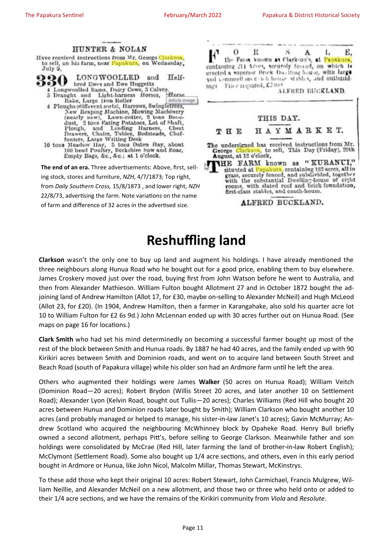

## **Reshuffling land**

**Clarkson** wasn't the only one to buy up land and augment his holdings. I have already mentioned the three neighbours along Hunua Road who he bought out for a good price, enabling them to buy elsewhere. James Croskery moved just over the road, buying first from John Watson before he went to Australia, and then from Alexander Mathieson. William Fulton bought Allotment 27 and in October 1872 bought the adjoining land of Andrew Hamilton (Allot 17, for £30, maybe on-selling to Alexander McNeil) and Hugh McLeod (Allot 23, for £20). (In 1904, Andrew Hamilton, then a farmer in Karangahake, also sold his quarter acre lot 10 to William Fulton for £2 6s 9d.) John McLennan ended up with 30 acres further out on Hunua Road. (See maps on page 16 for locations.)

**Clark Smith** who had set his mind determinedly on becoming a successful farmer bought up most of the rest of the block between Smith and Hunua roads. By 1887 he had 40 acres, and the family ended up with 90 Kirikiri acres between Smith and Dominion roads, and went on to acquire land between South Street and Beach Road (south of Papakura village) while his older son had an Ardmore farm until he left the area.

Others who augmented their holdings were James **Walker** (50 acres on Hunua Road); William Veitch (Dominion Road—20 acres); Robert Brydon (Willis Street 20 acres, and later another 10 on Settlement Road); Alexander Lyon (Kelvin Road, bought out Tullis—20 acres); Charles Williams (Red Hill who bought 20 acres between Hunua and Dominion roads later bought by Smith); William Clarkson who bought another 10 acres (and probably managed or helped to manage, his sister-in-law Janet's 10 acres); Gavin McMurray; Andrew Scotland who acquired the neighbouring McWhinney block by Opaheke Road. Henry Bull briefly owned a second allotment, perhaps Pitt's, before selling to George Clarkson. Meanwhile father and son holdings were consolidated by McCrae (Red Hill, later farming the land of brother-in-law Robert English); McClymont (Settlement Road). Some also bought up 1/4 acre sections, and others, even in this early period bought in Ardmore or Hunua, like John Nicol, Malcolm Millar, Thomas Stewart, McKinstrys.

To these add those who kept their original 10 acres: Robert Stewart, John Carmichael, Francis Mulgrew, William Neillie, and Alexander McNeil on a new allotment, and those two or three who held onto or added to their 1/4 acre sections, and we have the remains of the Kirikiri community from *Viola* and *Resolute*.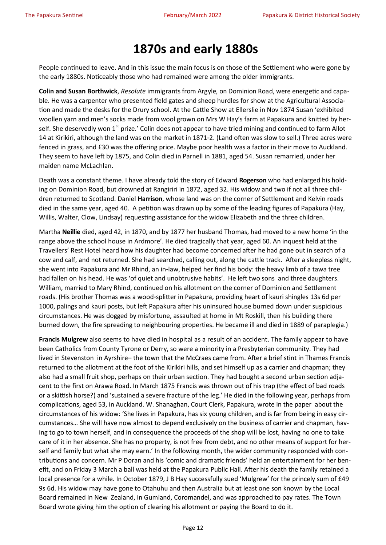## **1870s and early 1880s**

People continued to leave. And in this issue the main focus is on those of the Settlement who were gone by the early 1880s. Noticeably those who had remained were among the older immigrants.

**Colin and Susan Borthwick**, *Resolute* immigrants from Argyle, on Dominion Road, were energetic and capable. He was a carpenter who presented field gates and sheep hurdles for show at the Agricultural Association and made the desks for the Drury school. At the Cattle Show at Ellerslie in Nov 1874 Susan 'exhibited woollen yarn and men's socks made from wool grown on Mrs W Hay's farm at Papakura and knitted by herself. She deservedly won 1<sup>st</sup> prize.' Colin does not appear to have tried mining and continued to farm Allot 14 at Kirikiri, although the land was on the market in 1871-2. (Land often was slow to sell.) Three acres were fenced in grass, and £30 was the offering price. Maybe poor health was a factor in their move to Auckland. They seem to have left by 1875, and Colin died in Parnell in 1881, aged 54. Susan remarried, under her maiden name McLachlan.

Death was a constant theme. I have already told the story of Edward **Rogerson** who had enlarged his holding on Dominion Road, but drowned at Rangiriri in 1872, aged 32. His widow and two if not all three children returned to Scotland. Daniel **Harrison**, whose land was on the corner of Settlement and Kelvin roads died in the same year, aged 40. A petition was drawn up by some of the leading figures of Papakura (Hay, Willis, Walter, Clow, Lindsay) requesting assistance for the widow Elizabeth and the three children.

Martha **Neillie** died, aged 42, in 1870, and by 1877 her husband Thomas, had moved to a new home 'in the range above the school house in Ardmore'. He died tragically that year, aged 60. An inquest held at the Travellers' Rest Hotel heard how his daughter had become concerned after he had gone out in search of a cow and calf, and not returned. She had searched, calling out, along the cattle track. After a sleepless night, she went into Papakura and Mr Rhind, an in-law, helped her find his body: the heavy limb of a tawa tree had fallen on his head. He was 'of quiet and unobtrusive habits'. He left two sons and three daughters. William, married to Mary Rhind, continued on his allotment on the corner of Dominion and Settlement roads. (His brother Thomas was a wood-splitter in Papakura, providing heart of kauri shingles 13s 6d per 1000, palings and kauri posts, but left Papakura after his uninsured house burned down under suspicious circumstances. He was dogged by misfortune, assaulted at home in Mt Roskill, then his building there burned down, the fire spreading to neighbouring properties. He became ill and died in 1889 of paraplegia.)

**Francis Mulgrew** also seems to have died in hospital as a result of an accident. The family appear to have been Catholics from County Tyrone or Derry, so were a minority in a Presbyterian community. They had lived in Stevenston in Ayrshire– the town that the McCraes came from. After a brief stint in Thames Francis returned to the allotment at the foot of the Kirikiri hills, and set himself up as a carrier and chapman; they also had a small fruit shop, perhaps on their urban section. They had bought a second urban section adjacent to the first on Arawa Road. In March 1875 Francis was thrown out of his trap (the effect of bad roads or a skittish horse?) and 'sustained a severe fracture of the leg.' He died in the following year, perhaps from complications, aged 53, in Auckland. W. Shanaghan, Court Clerk, Papakura, wrote in the paper about the circumstances of his widow: 'She lives in Papakura, has six young children, and is far from being in easy circumstances… She will have now almost to depend exclusively on the business of carrier and chapman, having to go to town herself, and in consequence the proceeds of the shop will be lost, having no one to take care of it in her absence. She has no property, is not free from debt, and no other means of support for herself and family but what she may earn.' In the following month, the wider community responded with contributions and concern. Mr P Doran and his 'comic and dramatic friends' held an entertainment for her benefit, and on Friday 3 March a ball was held at the Papakura Public Hall. After his death the family retained a local presence for a while. In October 1879, J B Hay successfully sued 'Mulgrew' for the princely sum of £49 9s 6d. His widow may have gone to Otahuhu and then Australia but at least one son known by the Local Board remained in New Zealand, in Gumland, Coromandel, and was approached to pay rates. The Town Board wrote giving him the option of clearing his allotment or paying the Board to do it.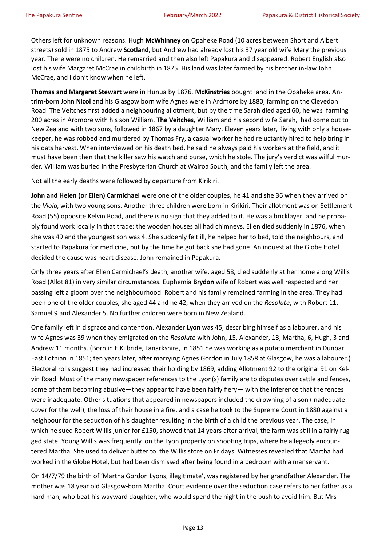Others left for unknown reasons. Hugh **McWhinney** on Opaheke Road (10 acres between Short and Albert streets) sold in 1875 to Andrew **Scotland**, but Andrew had already lost his 37 year old wife Mary the previous year. There were no children. He remarried and then also left Papakura and disappeared. Robert English also lost his wife Margaret McCrae in childbirth in 1875. His land was later farmed by his brother in-law John McCrae, and I don't know when he left.

**Thomas and Margaret Stewart** were in Hunua by 1876. **McKinstries** bought land in the Opaheke area. Antrim-born John **Nicol** and his Glasgow born wife Agnes were in Ardmore by 1880, farming on the Clevedon Road. The Veitches first added a neighbouring allotment, but by the time Sarah died aged 60, he was farming 200 acres in Ardmore with his son William. **The Veitches**, William and his second wife Sarah, had come out to New Zealand with two sons, followed in 1867 by a daughter Mary. Eleven years later, living with only a housekeeper, he was robbed and murdered by Thomas Fry, a casual worker he had reluctantly hired to help bring in his oats harvest. When interviewed on his death bed, he said he always paid his workers at the field, and it must have been then that the killer saw his watch and purse, which he stole. The jury's verdict was wilful murder. William was buried in the Presbyterian Church at Wairoa South, and the family left the area.

Not all the early deaths were followed by departure from Kirikiri.

**John and Helen (or Ellen) Carmichael** were one of the older couples, he 41 and she 36 when they arrived on the *Viola*, with two young sons. Another three children were born in Kirikiri. Their allotment was on Settlement Road (55) opposite Kelvin Road, and there is no sign that they added to it. He was a bricklayer, and he probably found work locally in that trade: the wooden houses all had chimneys. Ellen died suddenly in 1876, when she was 49 and the youngest son was 4. She suddenly felt ill, he helped her to bed, told the neighbours, and started to Papakura for medicine, but by the time he got back she had gone. An inquest at the Globe Hotel decided the cause was heart disease. John remained in Papakura*.* 

Only three years after Ellen Carmichael's death, another wife, aged 58, died suddenly at her home along Willis Road (Allot 81) in very similar circumstances. Euphemia **Brydon** wife of Robert was well respected and her passing left a gloom over the neighbourhood. Robert and his family remained farming in the area. They had been one of the older couples, she aged 44 and he 42, when they arrived on the *Resolute*, with Robert 11, Samuel 9 and Alexander 5. No further children were born in New Zealand.

One family left in disgrace and contention. Alexander **Lyon** was 45, describing himself as a labourer, and his wife Agnes was 39 when they emigrated on the *Resolute* with John, 15, Alexander, 13, Martha, 6, Hugh, 3 and Andrew 11 months. (Born in E Kilbride, Lanarkshire, In 1851 he was working as a potato merchant in Dunbar, East Lothian in 1851; ten years later, after marrying Agnes Gordon in July 1858 at Glasgow, he was a labourer.) Electoral rolls suggest they had increased their holding by 1869, adding Allotment 92 to the original 91 on Kelvin Road. Most of the many newspaper references to the Lyon(s) family are to disputes over cattle and fences, some of them becoming abusive—they appear to have been fairly fiery— with the inference that the fences were inadequate. Other situations that appeared in newspapers included the drowning of a son (inadequate cover for the well), the loss of their house in a fire, and a case he took to the Supreme Court in 1880 against a neighbour for the seduction of his daughter resulting in the birth of a child the previous year. The case, in which he sued Robert Willis junior for £150, showed that 14 years after arrival, the farm was still in a fairly rugged state. Young Willis was frequently on the Lyon property on shooting trips, where he allegedly encountered Martha. She used to deliver butter to the Willis store on Fridays. Witnesses revealed that Martha had worked in the Globe Hotel, but had been dismissed after being found in a bedroom with a manservant.

On 14/7/79 the birth of 'Martha Gordon Lyons, illegitimate', was registered by her grandfather Alexander. The mother was 18 year old Glasgow-born Martha. Court evidence over the seduction case refers to her father as a hard man, who beat his wayward daughter, who would spend the night in the bush to avoid him. But Mrs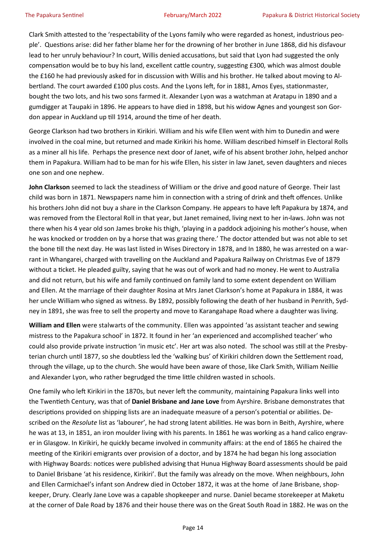Clark Smith attested to the 'respectability of the Lyons family who were regarded as honest, industrious people'. Questions arise: did her father blame her for the drowning of her brother in June 1868, did his disfavour lead to her unruly behaviour? In court, Willis denied accusations, but said that Lyon had suggested the only compensation would be to buy his land, excellent cattle country, suggesting £300*,* which was almost double the £160 he had previously asked for in discussion with Willis and his brother. He talked about moving to Albertland. The court awarded £100 plus costs. And the Lyons left, for in 1881, Amos Eyes, stationmaster, bought the two lots, and his two sons farmed it. Alexander Lyon was a watchman at Aratapu in 1890 and a gumdigger at Taupaki in 1896. He appears to have died in 1898, but his widow Agnes and youngest son Gordon appear in Auckland up till 1914, around the time of her death.

George Clarkson had two brothers in Kirikiri. William and his wife Ellen went with him to Dunedin and were involved in the coal mine, but returned and made Kirikiri his home. William described himself in Electoral Rolls as a miner all his life. Perhaps the presence next door of Janet, wife of his absent brother John, helped anchor them in Papakura. William had to be man for his wife Ellen, his sister in law Janet, seven daughters and nieces one son and one nephew.

**John Clarkson** seemed to lack the steadiness of William or the drive and good nature of George. Their last child was born in 1871. Newspapers name him in connection with a string of drink and theft offences. Unlike his brothers John did not buy a share in the Clarkson Company. He appears to have left Papakura by 1874, and was removed from the Electoral Roll in that year, but Janet remained, living next to her in-laws. John was not there when his 4 year old son James broke his thigh, 'playing in a paddock adjoining his mother's house, when he was knocked or trodden on by a horse that was grazing there.' The doctor attended but was not able to set the bone till the next day. He was last listed in Wises Directory in 1878, and In 1880, he was arrested on a warrant in Whangarei, charged with travelling on the Auckland and Papakura Railway on Christmas Eve of 1879 without a ticket. He pleaded guilty, saying that he was out of work and had no money. He went to Australia and did not return, but his wife and family continued on family land to some extent dependent on William and Ellen. At the marriage of their daughter Rosina at Mrs Janet Clarkson's home at Papakura in 1884, it was her uncle William who signed as witness. By 1892, possibly following the death of her husband in Penrith, Sydney in 1891, she was free to sell the property and move to Karangahape Road where a daughter was living.

**William and Ellen** were stalwarts of the community. Ellen was appointed 'as assistant teacher and sewing mistress to the Papakura school' in 1872. It found in her 'an experienced and accomplished teacher' who could also provide private instruction 'in music etc'. Her art was also noted. The school was still at the Presbyterian church until 1877, so she doubtless led the 'walking bus' of Kirikiri children down the Settlement road, through the village, up to the church. She would have been aware of those, like Clark Smith, William Neillie and Alexander Lyon, who rather begrudged the time little children wasted in schools.

One family who left Kirikiri in the 1870s, but never left the community, maintaining Papakura links well into the Twentieth Century, was that of **Daniel Brisbane and Jane Love** from Ayrshire. Brisbane demonstrates that descriptions provided on shipping lists are an inadequate measure of a person's potential or abilities. Described on the *Resolute* list as 'labourer', he had strong latent abilities. He was born in Beith, Ayrshire, where he was at 13, in 1851, an iron moulder living with his parents. In 1861 he was working as a hand calico engraver in Glasgow. In Kirikiri, he quickly became involved in community affairs: at the end of 1865 he chaired the meeting of the Kirikiri emigrants over provision of a doctor, and by 1874 he had began his long association with Highway Boards: notices were published advising that Hunua Highway Board assessments should be paid to Daniel Brisbane 'at his residence, Kirikiri'. But the family was already on the move. When neighbours, John and Ellen Carmichael's infant son Andrew died in October 1872, it was at the home of Jane Brisbane, shopkeeper, Drury. Clearly Jane Love was a capable shopkeeper and nurse. Daniel became storekeeper at Maketu at the corner of Dale Road by 1876 and their house there was on the Great South Road in 1882. He was on the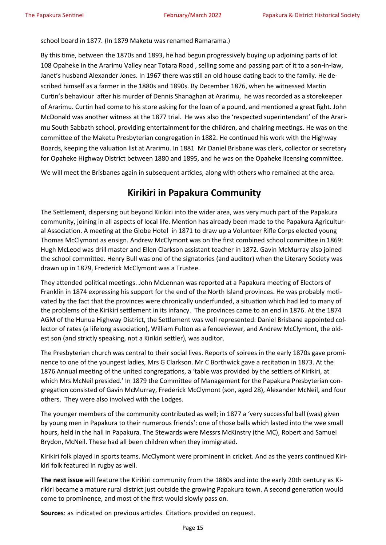school board in 1877*.* (In 1879 Maketu was renamed Ramarama.)

By this time, between the 1870s and 1893, he had begun progressively buying up adjoining parts of lot 108 Opaheke in the Ararimu Valley near Totara Road , selling some and passing part of it to a son-in-law, Janet's husband Alexander Jones. In 1967 there was still an old house dating back to the family. He described himself as a farmer in the 1880s and 1890s. By December 1876, when he witnessed Martin Curtin's behaviour after his murder of Dennis Shanaghan at Ararimu, he was recorded as a storekeeper of Ararimu. Curtin had come to his store asking for the loan of a pound, and mentioned a great fight. John McDonald was another witness at the 1877 trial. He was also the 'respected superintendant' of the Ararimu South Sabbath school, providing entertainment for the children, and chairing meetings*.* He was on the committee of the Maketu Presbyterian congregation in 1882. He continued his work with the Highway Boards, keeping the valuation list at Ararimu. In 1881 Mr Daniel Brisbane was clerk, collector or secretary for Opaheke Highway District between 1880 and 1895, and he was on the Opaheke licensing committee.

We will meet the Brisbanes again in subsequent articles, along with others who remained at the area.

## **Kirikiri in Papakura Community**

The Settlement, dispersing out beyond Kirikiri into the wider area, was very much part of the Papakura community, joining in all aspects of local life. Mention has already been made to the Papakura Agricultural Association. A meeting at the Globe Hotel in 1871 to draw up a Volunteer Rifle Corps elected young Thomas McClymont as ensign. Andrew McClymont was on the first combined school committee in 1869: Hugh McLeod was drill master and Ellen Clarkson assistant teacher in 1872. Gavin McMurray also joined the school committee. Henry Bull was one of the signatories (and auditor) when the Literary Society was drawn up in 1879, Frederick McClymont was a Trustee.

They attended political meetings. John McLennan was reported at a Papakura meeting of Electors of Franklin in 1874 expressing his support for the end of the North Island provinces. He was probably motivated by the fact that the provinces were chronically underfunded, a situation which had led to many of the problems of the Kirikiri settlement in its infancy. The provinces came to an end in 1876. At the 1874 AGM of the Hunua Highway District, the Settlement was well represented: Daniel Brisbane appointed collector of rates (a lifelong association), William Fulton as a fenceviewer, and Andrew McClymont, the oldest son (and strictly speaking, not a Kirikiri settler), was auditor.

The Presbyterian church was central to their social lives. Reports of soirees in the early 1870s gave prominence to one of the youngest ladies, Mrs G Clarkson. Mr C Borthwick gave a recitation in 1873. At the 1876 Annual meeting of the united congregations, a 'table was provided by the settlers of Kirikiri, at which Mrs McNeil presided.' In 1879 the Committee of Management for the Papakura Presbyterian congregation consisted of Gavin McMurray, Frederick McClymont (son, aged 28), Alexander McNeil, and four others. They were also involved with the Lodges.

The younger members of the community contributed as well; in 1877 a 'very successful ball (was) given by young men in Papakura to their numerous friends': one of those balls which lasted into the wee small hours, held in the hall in Papakura. The Stewards were Messrs McKinstry (the MC), Robert and Samuel Brydon, McNeil. These had all been children when they immigrated.

Kirikiri folk played in sports teams. McClymont were prominent in cricket. And as the years continued Kirikiri folk featured in rugby as well.

**The next issue** will feature the Kirikiri community from the 1880s and into the early 20th century as Kirikiri became a mature rural district just outside the growing Papakura town. A second generation would come to prominence, and most of the first would slowly pass on.

**Sources**: as indicated on previous articles. Citations provided on request.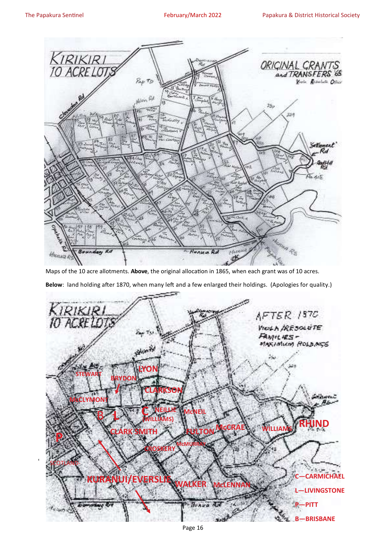'



Maps of the 10 acre allotments. **Above**, the original allocation in 1865, when each grant was of 10 acres.

**Below**: land holding after 1870, when many left and a few enlarged their holdings. (Apologies for quality.)

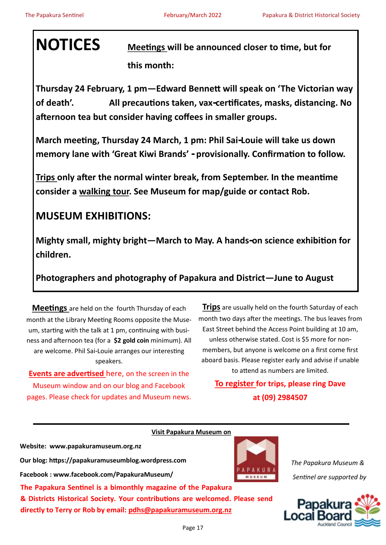**NOTICES Meetings will be announced closer to time, but for this month:** 

**Thursday 24 February, 1 pm—Edward Bennett will speak on 'The Victorian way of death'. All precautions taken, vax-certificates, masks, distancing. No afternoon tea but consider having coffees in smaller groups.** 

**March meeting, Thursday 24 March, 1 pm: Phil Sai-Louie will take us down memory lane with 'Great Kiwi Brands' - provisionally. Confirmation to follow.**

**Trips only after the normal winter break, from September. In the meantime consider a walking tour. See Museum for map/guide or contact Rob.**

## **MUSEUM EXHIBITIONS:**

**Mighty small, mighty bright—March to May. A hands-on science exhibition for children.** 

**Photographers and photography of Papakura and District—June to August**

**Meetings** are held on the fourth Thursday of each month at the Library Meeting Rooms opposite the Museum, starting with the talk at 1 pm, continuing with business and afternoon tea (for a **\$2 gold coin** minimum). All are welcome. Phil Sai-Louie arranges our interesting speakers.

**Events are advertised** here, on the screen in the Museum window and on our blog and Facebook pages. Please check for updates and Museum news.

**Trips** are usually held on the fourth Saturday of each month two days after the meetings. The bus leaves from East Street behind the Access Point building at 10 am, unless otherwise stated. Cost is \$5 more for nonmembers, but anyone is welcome on a first come first aboard basis. Please register early and advise if unable to attend as numbers are limited.

**To register for trips, please ring Dave at (09) 2984507**

| Visit Papakura Museum on                                                                                                                      |                           |
|-----------------------------------------------------------------------------------------------------------------------------------------------|---------------------------|
| Website: www.papakuramuseum.org.nz                                                                                                            |                           |
| Our blog: https://papakuramuseumblog.wordpress.com                                                                                            | The Papakura Museum &     |
| Facebook: www.facebook.com/PapakuraMuseum/<br>MUSEUM                                                                                          | Sentinel are supported by |
| The Papakura Sentinel is a bimonthly magazine of the Papakura                                                                                 |                           |
| & Districts Historical Society. Your contributions are welcomed. Please send<br>directly to Terry or Rob by email: pdhs@papakuramuseum.org.nz | Papakura :                |